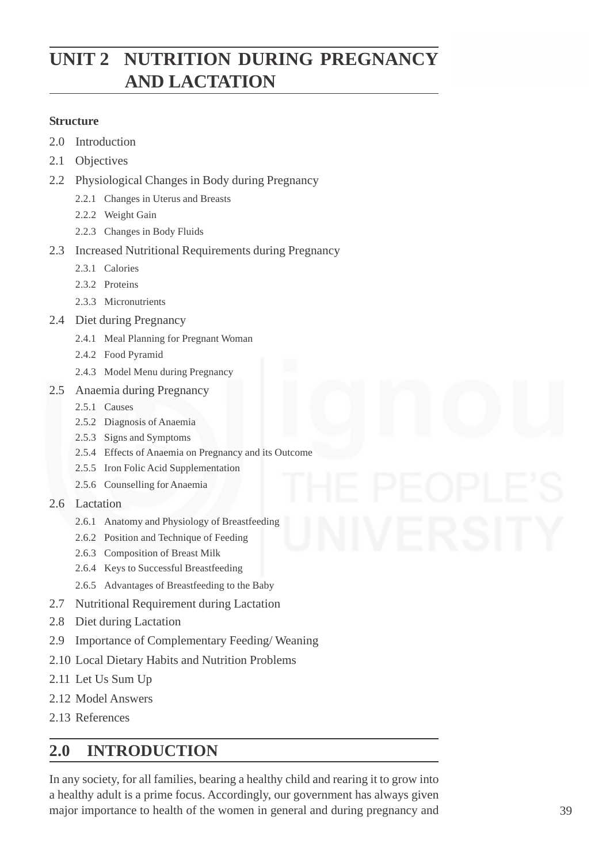# **UNIT 2 NUTRITION DURING PREGNANCY AND LACTATION**

## **Structure**

- 2.0 Introduction
- 2.1 Objectives
- 2.2 Physiological Changes in Body during Pregnancy
	- 2.2.1 Changes in Uterus and Breasts
	- 2.2.2 Weight Gain
	- 2.2.3 Changes in Body Fluids
- 2.3 Increased Nutritional Requirements during Pregnancy
	- 2.3.1 Calories
	- 2.3.2 Proteins
	- 2.3.3 Micronutrients
- 2.4 Diet during Pregnancy
	- 2.4.1 Meal Planning for Pregnant Woman
	- 2.4.2 Food Pyramid
	- 2.4.3 Model Menu during Pregnancy
- 2.5 Anaemia during Pregnancy
	- 2.5.1 Causes
	- 2.5.2 Diagnosis of Anaemia
	- 2.5.3 Signs and Symptoms
	- 2.5.4 Effects of Anaemia on Pregnancy and its Outcome
	- 2.5.5 Iron Folic Acid Supplementation
	- 2.5.6 Counselling for Anaemia
- 2.6 Lactation
	- 2.6.1 Anatomy and Physiology of Breastfeeding
	- 2.6.2 Position and Technique of Feeding
	- 2.6.3 Composition of Breast Milk
	- 2.6.4 Keys to Successful Breastfeeding
	- 2.6.5 Advantages of Breastfeeding to the Baby
- 2.7 Nutritional Requirement during Lactation
- 2.8 Diet during Lactation
- 2.9 Importance of Complementary Feeding/ Weaning
- 2.10 Local Dietary Habits and Nutrition Problems
- 2.11 Let Us Sum Up
- 2.12 Model Answers
- 2.13 References

# **2.0 INTRODUCTION**

In any society, for all families, bearing a healthy child and rearing it to grow into a healthy adult is a prime focus. Accordingly, our government has always given major importance to health of the women in general and during pregnancy and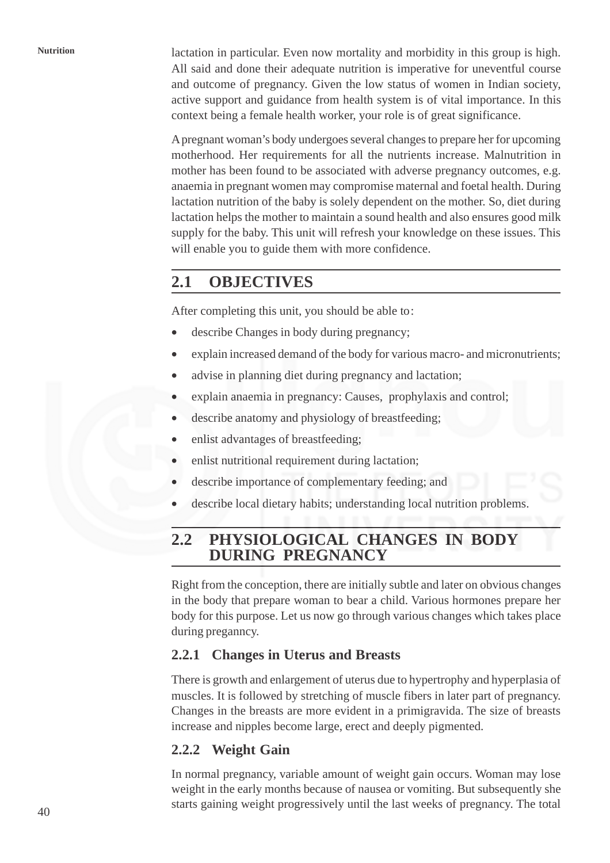**Nutrition** lactation in particular. Even now mortality and morbidity in this group is high. All said and done their adequate nutrition is imperative for uneventful course and outcome of pregnancy. Given the low status of women in Indian society, active support and guidance from health system is of vital importance. In this context being a female health worker, your role is of great significance.

> A pregnant woman's body undergoes several changes to prepare her for upcoming motherhood. Her requirements for all the nutrients increase. Malnutrition in mother has been found to be associated with adverse pregnancy outcomes, e.g. anaemia in pregnant women may compromise maternal and foetal health. During lactation nutrition of the baby is solely dependent on the mother. So, diet during lactation helps the mother to maintain a sound health and also ensures good milk supply for the baby. This unit will refresh your knowledge on these issues. This will enable you to guide them with more confidence.

# **2.1 OBJECTIVES**

After completing this unit, you should be able to:

- describe Changes in body during pregnancy;
- explain increased demand of the body for various macro- and micronutrients;
- advise in planning diet during pregnancy and lactation;
- explain anaemia in pregnancy: Causes, prophylaxis and control;
- describe anatomy and physiology of breastfeeding;
- enlist advantages of breastfeeding;
- enlist nutritional requirement during lactation;
- describe importance of complementary feeding; and
- describe local dietary habits; understanding local nutrition problems.

# **2.2 PHYSIOLOGICAL CHANGES IN BODY DURING PREGNANCY**

Right from the conception, there are initially subtle and later on obvious changes in the body that prepare woman to bear a child. Various hormones prepare her body for this purpose. Let us now go through various changes which takes place during preganncy.

## **2.2.1 Changes in Uterus and Breasts**

There is growth and enlargement of uterus due to hypertrophy and hyperplasia of muscles. It is followed by stretching of muscle fibers in later part of pregnancy. Changes in the breasts are more evident in a primigravida. The size of breasts increase and nipples become large, erect and deeply pigmented.

## **2.2.2 Weight Gain**

In normal pregnancy, variable amount of weight gain occurs. Woman may lose weight in the early months because of nausea or vomiting. But subsequently she starts gaining weight progressively until the last weeks of pregnancy. The total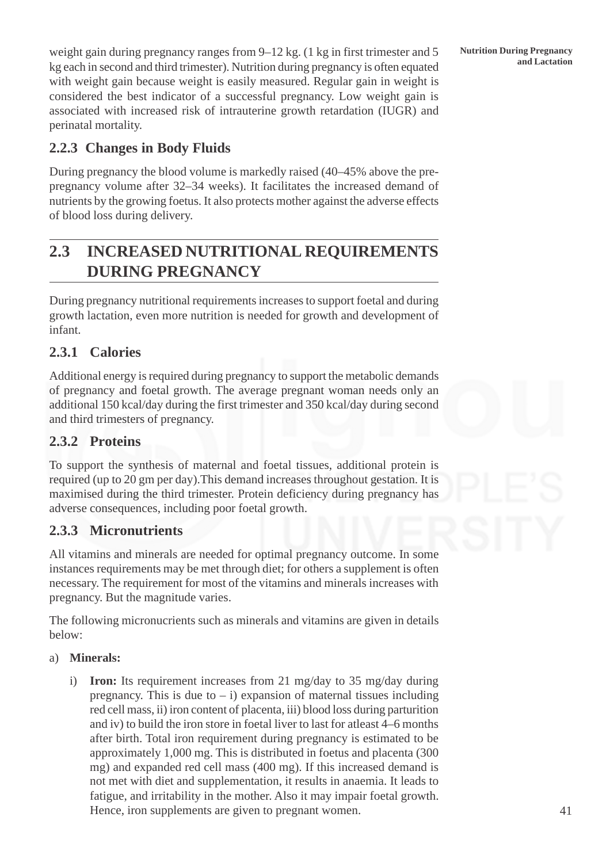**Nutrition During Pregnancy**

weight gain during pregnancy ranges from 9–12 kg. (1 kg in first trimester and 5 Nutrition During Pregnancy kg each in second and third trimester). Nutrition during pregnancy is often equated with weight gain because weight is easily measured. Regular gain in weight is considered the best indicator of a successful pregnancy. Low weight gain is associated with increased risk of intrauterine growth retardation (IUGR) and perinatal mortality.

## **2.2.3 Changes in Body Fluids**

During pregnancy the blood volume is markedly raised (40–45% above the prepregnancy volume after 32–34 weeks). It facilitates the increased demand of nutrients by the growing foetus. It also protects mother against the adverse effects of blood loss during delivery.

# **2.3 INCREASED NUTRITIONAL REQUIREMENTS DURING PREGNANCY**

During pregnancy nutritional requirements increases to support foetal and during growth lactation, even more nutrition is needed for growth and development of infant.

## **2.3.1 Calories**

Additional energy is required during pregnancy to support the metabolic demands of pregnancy and foetal growth. The average pregnant woman needs only an additional 150 kcal/day during the first trimester and 350 kcal/day during second and third trimesters of pregnancy.

## **2.3.2 Proteins**

To support the synthesis of maternal and foetal tissues, additional protein is required (up to 20 gm per day).This demand increases throughout gestation. It is maximised during the third trimester. Protein deficiency during pregnancy has adverse consequences, including poor foetal growth.

## **2.3.3 Micronutrients**

All vitamins and minerals are needed for optimal pregnancy outcome. In some instances requirements may be met through diet; for others a supplement is often necessary. The requirement for most of the vitamins and minerals increases with pregnancy. But the magnitude varies.

The following micronucrients such as minerals and vitamins are given in details below:

## a) **Minerals:**

i) **Iron:** Its requirement increases from 21 mg/day to 35 mg/day during pregnancy. This is due to  $- i$ ) expansion of maternal tissues including red cell mass, ii) iron content of placenta, iii) blood loss during parturition and iv) to build the iron store in foetal liver to last for atleast 4–6 months after birth. Total iron requirement during pregnancy is estimated to be approximately 1,000 mg. This is distributed in foetus and placenta (300 mg) and expanded red cell mass (400 mg). If this increased demand is not met with diet and supplementation, it results in anaemia. It leads to fatigue, and irritability in the mother. Also it may impair foetal growth. Hence, iron supplements are given to pregnant women.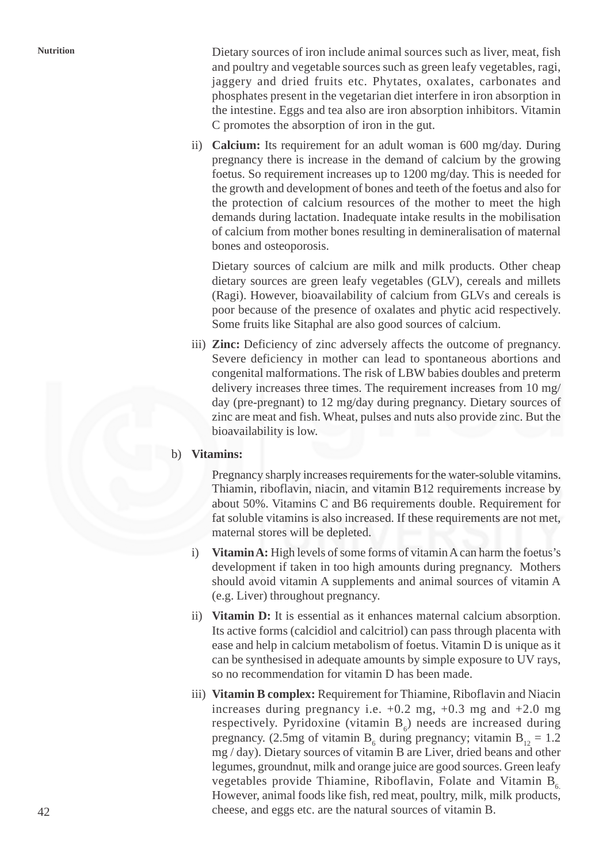**Nutrition** Dietary sources of iron include animal sources such as liver, meat, fish and poultry and vegetable sources such as green leafy vegetables, ragi, jaggery and dried fruits etc. Phytates, oxalates, carbonates and phosphates present in the vegetarian diet interfere in iron absorption in the intestine. Eggs and tea also are iron absorption inhibitors. Vitamin C promotes the absorption of iron in the gut.

> ii) **Calcium:** Its requirement for an adult woman is 600 mg/day. During pregnancy there is increase in the demand of calcium by the growing foetus. So requirement increases up to 1200 mg/day. This is needed for the growth and development of bones and teeth of the foetus and also for the protection of calcium resources of the mother to meet the high demands during lactation. Inadequate intake results in the mobilisation of calcium from mother bones resulting in demineralisation of maternal bones and osteoporosis.

Dietary sources of calcium are milk and milk products. Other cheap dietary sources are green leafy vegetables (GLV), cereals and millets (Ragi). However, bioavailability of calcium from GLVs and cereals is poor because of the presence of oxalates and phytic acid respectively. Some fruits like Sitaphal are also good sources of calcium.

iii) **Zinc:** Deficiency of zinc adversely affects the outcome of pregnancy. Severe deficiency in mother can lead to spontaneous abortions and congenital malformations. The risk of LBW babies doubles and preterm delivery increases three times. The requirement increases from 10 mg/ day (pre-pregnant) to 12 mg/day during pregnancy. Dietary sources of zinc are meat and fish. Wheat, pulses and nuts also provide zinc. But the bioavailability is low.

### b) **Vitamins:**

Pregnancy sharply increases requirements for the water-soluble vitamins. Thiamin, riboflavin, niacin, and vitamin B12 requirements increase by about 50%. Vitamins C and B6 requirements double. Requirement for fat soluble vitamins is also increased. If these requirements are not met, maternal stores will be depleted.

- i) **Vitamin A:** High levels of some forms of vitamin A can harm the foetus's development if taken in too high amounts during pregnancy. Mothers should avoid vitamin A supplements and animal sources of vitamin A (e.g. Liver) throughout pregnancy.
- ii) **Vitamin D:** It is essential as it enhances maternal calcium absorption. Its active forms (calcidiol and calcitriol) can pass through placenta with ease and help in calcium metabolism of foetus. Vitamin D is unique as it can be synthesised in adequate amounts by simple exposure to UV rays, so no recommendation for vitamin D has been made.
- iii) **Vitamin B complex:** Requirement for Thiamine, Riboflavin and Niacin increases during pregnancy i.e.  $+0.2$  mg,  $+0.3$  mg and  $+2.0$  mg respectively. Pyridoxine (vitamin  $B_6$ ) needs are increased during pregnancy. (2.5mg of vitamin  $B_6$  during pregnancy; vitamin  $B_{12} = 1.2$ mg / day). Dietary sources of vitamin B are Liver, dried beans and other legumes, groundnut, milk and orange juice are good sources. Green leafy vegetables provide Thiamine, Riboflavin, Folate and Vitamin  $B<sub>6</sub>$ . However, animal foods like fish, red meat, poultry, milk, milk products, cheese, and eggs etc. are the natural sources of vitamin B.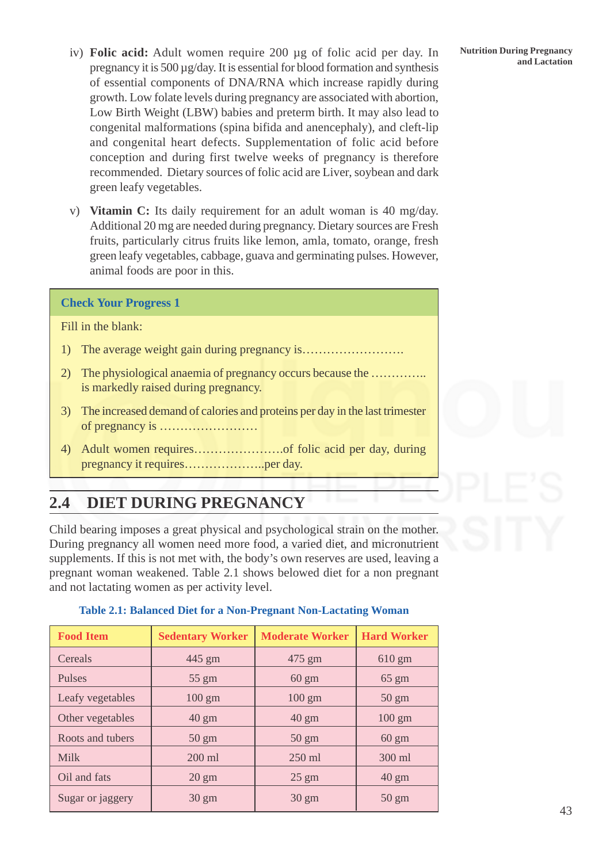- iv) **Folic acid:** Adult women require 200 μg of folic acid per day. In Nutrition During Pregnancy and Lactation pregnancy it is 500 µg/day. It is essential for blood formation and synthesis of essential components of DNA/RNA which increase rapidly during growth. Low folate levels during pregnancy are associated with abortion, Low Birth Weight (LBW) babies and preterm birth. It may also lead to congenital malformations (spina bifida and anencephaly), and cleft-lip and congenital heart defects. Supplementation of folic acid before conception and during first twelve weeks of pregnancy is therefore recommended. Dietary sources of folic acid are Liver, soybean and dark green leafy vegetables.
- v) **Vitamin C:** Its daily requirement for an adult woman is 40 mg/day. Additional 20 mg are needed during pregnancy. Dietary sources are Fresh fruits, particularly citrus fruits like lemon, amla, tomato, orange, fresh green leafy vegetables, cabbage, guava and germinating pulses. However, animal foods are poor in this.

### **Check Your Progress 1**

Fill in the blank:

- 1) The average weight gain during pregnancy is…………………….
- 2) The physiological anaemia of pregnancy occurs because the ………….. is markedly raised during pregnancy.
- 3) The increased demand of calories and proteins per day in the last trimester of pregnancy is ……………………
- 4) Adult women requires………………….of folic acid per day, during pregnancy it requires………………..per day.

# **2.4 DIET DURING PREGNANCY**

Child bearing imposes a great physical and psychological strain on the mother. During pregnancy all women need more food, a varied diet, and micronutrient supplements. If this is not met with, the body's own reserves are used, leaving a pregnant woman weakened. Table 2.1 shows belowed diet for a non pregnant and not lactating women as per activity level.

| <b>Food Item</b> | <b>Sedentary Worker</b> | <b>Moderate Worker</b> | <b>Hard Worker</b> |
|------------------|-------------------------|------------------------|--------------------|
| Cereals          | 445 gm                  | 475 gm                 | $610 \text{ gm}$   |
| <b>Pulses</b>    | $55 \text{ gm}$         | $60 \text{ gm}$        | $65 \text{ gm}$    |
| Leafy vegetables | $100 \text{ gm}$        | $100 \text{ gm}$       | $50 \text{ gm}$    |
| Other vegetables | $40 \text{ gm}$         | $40 \text{ gm}$        | $100 \text{ gm}$   |
| Roots and tubers | $50 \text{ gm}$         | $50 \text{ gm}$        | $60 \text{ gm}$    |
| <b>Milk</b>      | $200$ ml                | $250$ ml               | 300 ml             |
| Oil and fats     | $20 \text{ gm}$         | $25 \text{ gm}$        | $40 \text{ gm}$    |
| Sugar or jaggery | $30 \text{ gm}$         | $30 \text{ gm}$        | $50 \text{ gm}$    |

**Table 2.1: Balanced Diet for a Non-Pregnant Non-Lactating Woman**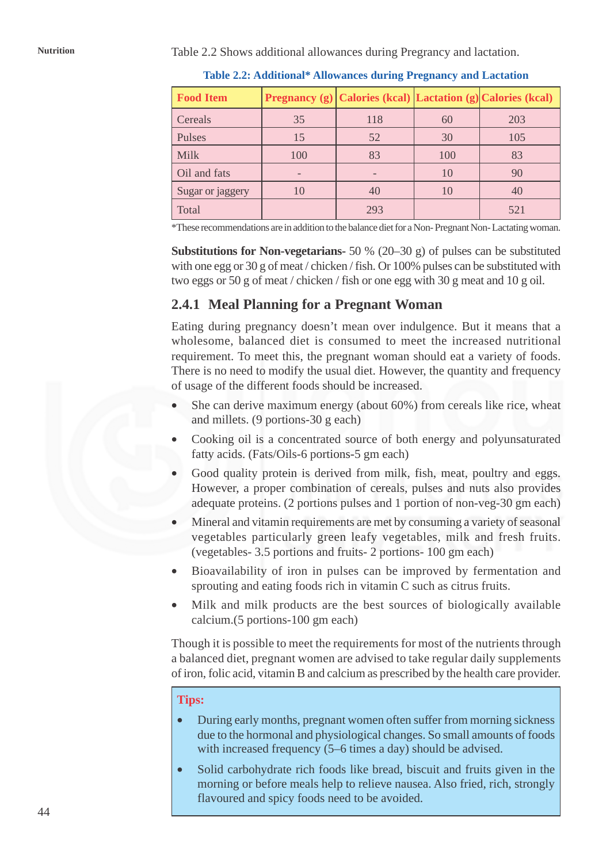Nutrition<br>Table 2.2 Shows additional allowances during Pregrancy and lactation.

| <b>Food Item</b> |     | <b>Pregnancy</b> (g) Calories (kcal) Lactation (g) Calories (kcal) |     |     |
|------------------|-----|--------------------------------------------------------------------|-----|-----|
| Cereals          | 35  | 118                                                                | 60  | 203 |
| Pulses           | 15  | 52                                                                 | 30  | 105 |
| Milk             | 100 | 83                                                                 | 100 | 83  |
| Oil and fats     |     |                                                                    | 10  | 90  |
| Sugar or jaggery | 10  | 40                                                                 |     | 40  |
| Total            |     | 293                                                                |     | 521 |

**Table 2.2: Additional\* Allowances during Pregnancy and Lactation**

\*These recommendations are in addition to the balance diet for a Non- Pregnant Non- Lactating woman.

**Substitutions for Non-vegetarians-** 50 % (20–30 g) of pulses can be substituted with one egg or 30 g of meat / chicken / fish. Or 100% pulses can be substituted with two eggs or 50 g of meat / chicken / fish or one egg with 30 g meat and 10 g oil.

## **2.4.1 Meal Planning for a Pregnant Woman**

Eating during pregnancy doesn't mean over indulgence. But it means that a wholesome, balanced diet is consumed to meet the increased nutritional requirement. To meet this, the pregnant woman should eat a variety of foods. There is no need to modify the usual diet. However, the quantity and frequency of usage of the different foods should be increased.

- She can derive maximum energy (about 60%) from cereals like rice, wheat and millets. (9 portions-30 g each)
- Cooking oil is a concentrated source of both energy and polyunsaturated fatty acids. (Fats/Oils-6 portions-5 gm each)
- Good quality protein is derived from milk, fish, meat, poultry and eggs. However, a proper combination of cereals, pulses and nuts also provides adequate proteins. (2 portions pulses and 1 portion of non-veg-30 gm each)
- Mineral and vitamin requirements are met by consuming a variety of seasonal vegetables particularly green leafy vegetables, milk and fresh fruits. (vegetables- 3.5 portions and fruits- 2 portions- 100 gm each)
- Bioavailability of iron in pulses can be improved by fermentation and sprouting and eating foods rich in vitamin C such as citrus fruits.
- Milk and milk products are the best sources of biologically available calcium.(5 portions-100 gm each)

Though it is possible to meet the requirements for most of the nutrients through a balanced diet, pregnant women are advised to take regular daily supplements of iron, folic acid, vitamin B and calcium as prescribed by the health care provider.

### **Tips:**

- During early months, pregnant women often suffer from morning sickness due to the hormonal and physiological changes. So small amounts of foods with increased frequency (5–6 times a day) should be advised.
- Solid carbohydrate rich foods like bread, biscuit and fruits given in the morning or before meals help to relieve nausea. Also fried, rich, strongly flavoured and spicy foods need to be avoided.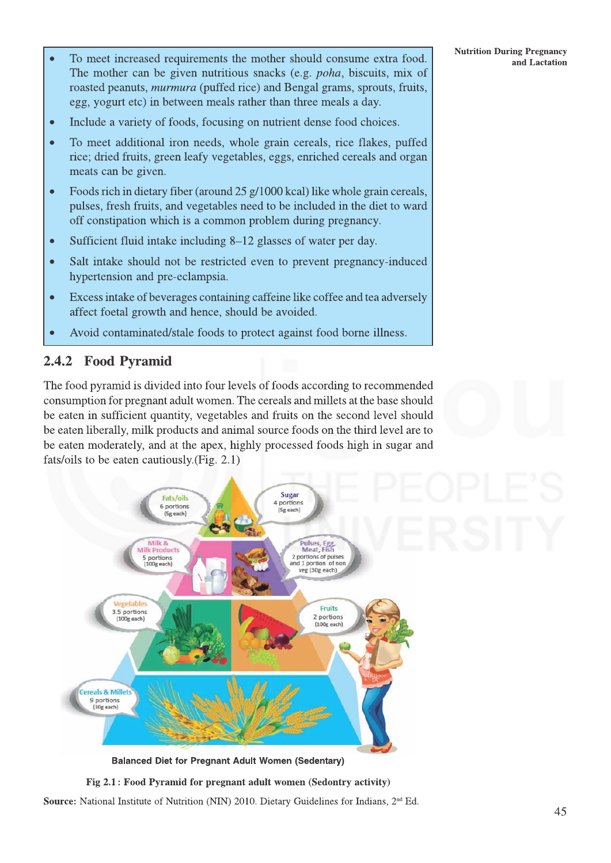- To meet increased requirements the mother should consume extra food. Ċ The mother can be given nutritious snacks (e.g. *poha*, biscuits, mix of roasted peanuts, *murmura* (puffed rice) and Bengal grams, sprouts, fruits, egg, yogurt etc) in between meals rather than three meals a day.
- Include a variety of foods, focusing on nutrient dense food choices.  $\bullet$
- To meet additional iron needs, whole grain cereals, rice flakes, puffed  $\bullet$ rice; dried fruits, green leafy vegetables, eggs, enriched cereals and organ meats can be given.
- Foods rich in dietary fiber (around 25 g/1000 kcal) like whole grain cereals,  $\bullet$ pulses, fresh fruits, and vegetables need to be included in the diet to ward off constipation which is a common problem during pregnancy.
- Sufficient fluid intake including 8–12 glasses of water per day.  $\bullet$
- Salt intake should not be restricted even to prevent pregnancy-induced  $\bullet$ hypertension and pre-eclampsia.
- Excess intake of beverages containing caffeine like coffee and tea adversely  $\bullet$ affect foetal growth and hence, should be avoided.
- Avoid contaminated/stale foods to protect against food borne illness.

## 2.4.2 Food Pyramid

The food pyramid is divided into four levels of foods according to recommended consumption for pregnant adult women. The cereals and millets at the base should be eaten in sufficient quantity, vegetables and fruits on the second level should be eaten liberally, milk products and animal source foods on the third level are to be eaten moderately, and at the apex, highly processed foods high in sugar and fats/oils to be eaten cautiously. (Fig. 2.1)



**Balanced Diet for Pregnant Adult Women (Sedentary)** 



**Source:** National Institute of Nutrition (NIN) 2010. Dietary Guidelines for Indians,  $2<sup>nd</sup> Ed$ .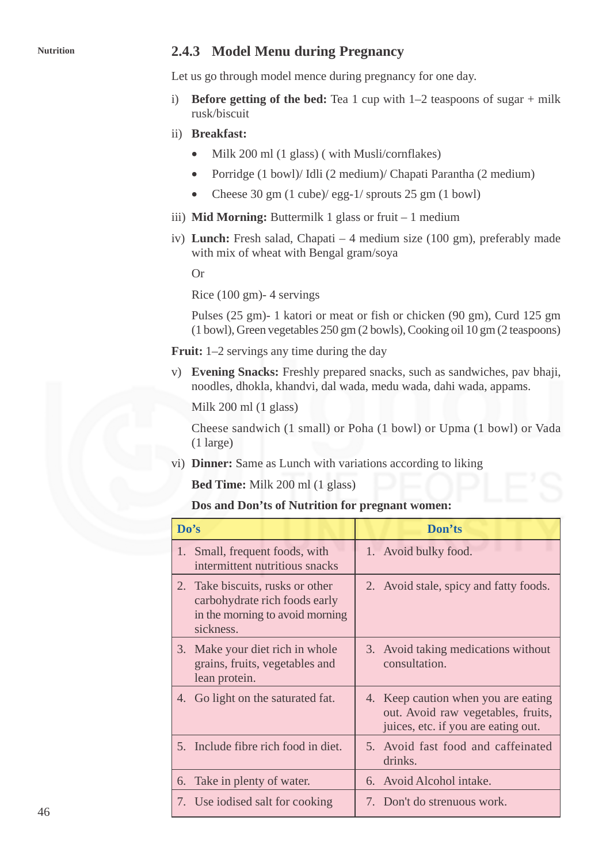## **Nutrition 2.4.3 Model Menu during Pregnancy**

Let us go through model mence during pregnancy for one day.

- i) **Before getting of the bed:** Tea 1 cup with  $1-2$  teaspoons of sugar + milk rusk/biscuit
- ii) **Breakfast:**
	- Milk 200 ml (1 glass) (with Musli/cornflakes)
	- Porridge (1 bowl)/ Idli (2 medium)/ Chapati Parantha (2 medium)
	- Cheese 30 gm (1 cube)/ egg-1/ sprouts 25 gm (1 bowl)
- iii) **Mid Morning:** Buttermilk 1 glass or fruit 1 medium
- iv) **Lunch:** Fresh salad, Chapati 4 medium size (100 gm), preferably made with mix of wheat with Bengal gram/soya

Or

Rice (100 gm)- 4 servings

Pulses (25 gm)- 1 katori or meat or fish or chicken (90 gm), Curd 125 gm (1 bowl), Green vegetables 250 gm (2 bowls), Cooking oil 10 gm (2 teaspoons)

**Fruit:** 1–2 servings any time during the day

v) **Evening Snacks:** Freshly prepared snacks, such as sandwiches, pav bhaji, noodles, dhokla, khandvi, dal wada, medu wada, dahi wada, appams.

Milk 200 ml (1 glass)

Cheese sandwich (1 small) or Poha (1 bowl) or Upma (1 bowl) or Vada (1 large)

vi) **Dinner:** Same as Lunch with variations according to liking

**Bed Time:** Milk 200 ml (1 glass)

### **Dos and Don'ts of Nutrition for pregnant women:**

| Do's                                                                                                                 | Don'ts                                                                                                           |
|----------------------------------------------------------------------------------------------------------------------|------------------------------------------------------------------------------------------------------------------|
| 1. Small, frequent foods, with<br>intermittent nutritious snacks                                                     | 1. Avoid bulky food.                                                                                             |
| Take biscuits, rusks or other<br>2.<br>carbohydrate rich foods early<br>in the morning to avoid morning<br>sickness. | 2. Avoid stale, spicy and fatty foods.                                                                           |
| Make your diet rich in whole<br>3.<br>grains, fruits, vegetables and<br>lean protein.                                | 3. Avoid taking medications without<br>consultation.                                                             |
| 4. Go light on the saturated fat.                                                                                    | 4. Keep caution when you are eating<br>out. Avoid raw vegetables, fruits,<br>juices, etc. if you are eating out. |
| 5. Include fibre rich food in diet.                                                                                  | 5. Avoid fast food and caffeinated<br>drinks.                                                                    |
| Take in plenty of water.<br>6.                                                                                       | 6. Avoid Alcohol intake.                                                                                         |
| 7. Use iodised salt for cooking                                                                                      | 7. Don't do strenuous work.                                                                                      |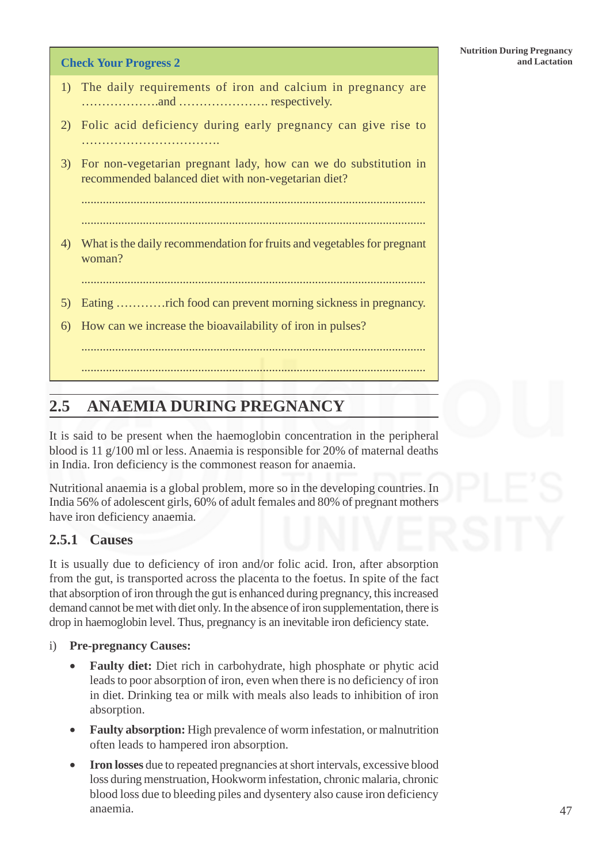### **Check Your Progress 2 and Lactation**

- 1) The daily requirements of iron and calcium in pregnancy are ……………….and …………………. respectively.
- 2) Folic acid deficiency during early pregnancy can give rise to …………………………………………
- 3) For non-vegetarian pregnant lady, how can we do substitution in recommended balanced diet with non-vegetarian diet?

................................................................................................................

- ................................................................................................................
- 4) What is the daily recommendation for fruits and vegetables for pregnant woman?
	- ................................................................................................................

................................................................................................................

5) Eating …………rich food can prevent morning sickness in pregnancy.

................................................................................................................

6) How can we increase the bioavailability of iron in pulses?

# **2.5 ANAEMIA DURING PREGNANCY**

It is said to be present when the haemoglobin concentration in the peripheral blood is 11 g/100 ml or less. Anaemia is responsible for 20% of maternal deaths in India. Iron deficiency is the commonest reason for anaemia.

Nutritional anaemia is a global problem, more so in the developing countries. In India 56% of adolescent girls, 60% of adult females and 80% of pregnant mothers have iron deficiency anaemia.

## **2.5.1 Causes**

It is usually due to deficiency of iron and/or folic acid. Iron, after absorption from the gut, is transported across the placenta to the foetus. In spite of the fact that absorption of iron through the gut is enhanced during pregnancy, this increased demand cannot be met with diet only. In the absence of iron supplementation, there is drop in haemoglobin level. Thus, pregnancy is an inevitable iron deficiency state.

- i) **Pre-pregnancy Causes:**
	- **Faulty diet:** Diet rich in carbohydrate, high phosphate or phytic acid leads to poor absorption of iron, even when there is no deficiency of iron in diet. Drinking tea or milk with meals also leads to inhibition of iron absorption.
	- **Faulty absorption:** High prevalence of worm infestation, or malnutrition often leads to hampered iron absorption.
	- **Iron losses** due to repeated pregnancies at short intervals, excessive blood loss during menstruation, Hookworm infestation, chronic malaria, chronic blood loss due to bleeding piles and dysentery also cause iron deficiency anaemia.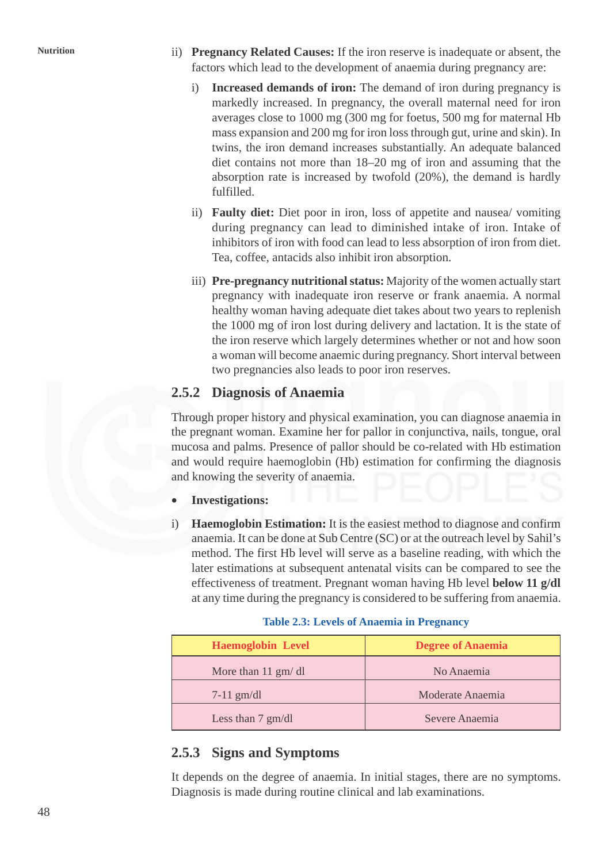- **Nutrition** ii) **Pregnancy Related Causes:** If the iron reserve is inadequate or absent, the factors which lead to the development of anaemia during pregnancy are:
	- i) **Increased demands of iron:** The demand of iron during pregnancy is markedly increased. In pregnancy, the overall maternal need for iron averages close to 1000 mg (300 mg for foetus, 500 mg for maternal Hb mass expansion and 200 mg for iron loss through gut, urine and skin). In twins, the iron demand increases substantially. An adequate balanced diet contains not more than 18–20 mg of iron and assuming that the absorption rate is increased by twofold (20%), the demand is hardly fulfilled.
	- ii) **Faulty diet:** Diet poor in iron, loss of appetite and nausea/ vomiting during pregnancy can lead to diminished intake of iron. Intake of inhibitors of iron with food can lead to less absorption of iron from diet. Tea, coffee, antacids also inhibit iron absorption.
	- iii) **Pre-pregnancy nutritional status:** Majority of the women actually start pregnancy with inadequate iron reserve or frank anaemia. A normal healthy woman having adequate diet takes about two years to replenish the 1000 mg of iron lost during delivery and lactation. It is the state of the iron reserve which largely determines whether or not and how soon a woman will become anaemic during pregnancy. Short interval between two pregnancies also leads to poor iron reserves.

## **2.5.2 Diagnosis of Anaemia**

Through proper history and physical examination, you can diagnose anaemia in the pregnant woman. Examine her for pallor in conjunctiva, nails, tongue, oral mucosa and palms. Presence of pallor should be co-related with Hb estimation and would require haemoglobin (Hb) estimation for confirming the diagnosis and knowing the severity of anaemia.

- **Investigations:**
- i) **Haemoglobin Estimation:** It is the easiest method to diagnose and confirm anaemia. It can be done at Sub Centre (SC) or at the outreach level by Sahil's method. The first Hb level will serve as a baseline reading, with which the later estimations at subsequent antenatal visits can be compared to see the effectiveness of treatment. Pregnant woman having Hb level **below 11 g/dl** at any time during the pregnancy is considered to be suffering from anaemia.

### **Table 2.3: Levels of Anaemia in Pregnancy**

| <b>Haemoglobin Level</b>     | <b>Degree of Anaemia</b> |
|------------------------------|--------------------------|
| More than $11 \text{ gm/dl}$ | No Anaemia               |
| $7-11$ gm/dl                 | Moderate Anaemia         |
| Less than $7 \text{ gm/dl}$  | Severe Anaemia           |

## **2.5.3 Signs and Symptoms**

It depends on the degree of anaemia. In initial stages, there are no symptoms. Diagnosis is made during routine clinical and lab examinations.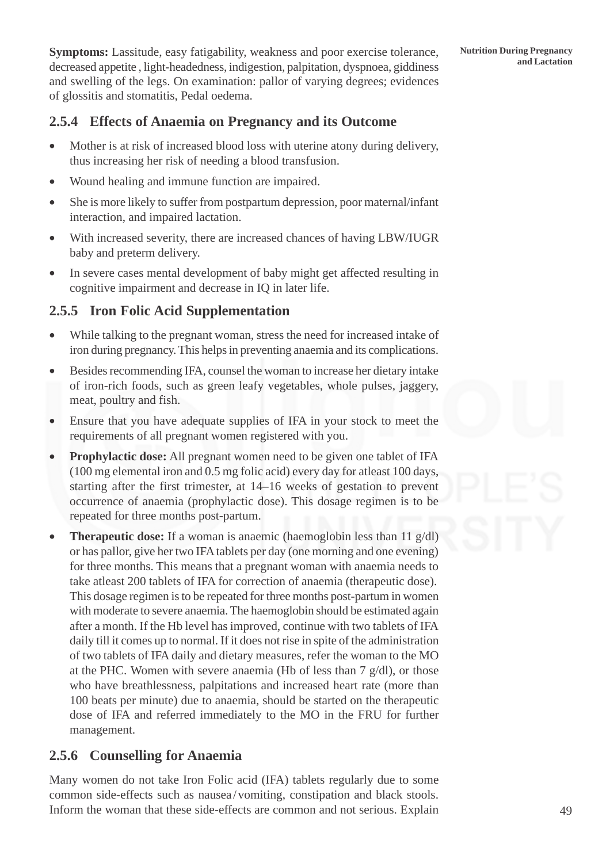**Symptoms:** Lassitude, easy fatigability, weakness and poor exercise tolerance, Nutrition During Pregnancy decreased appetite , light-headedness, indigestion, palpitation, dyspnoea, giddiness and swelling of the legs. On examination: pallor of varying degrees; evidences of glossitis and stomatitis, Pedal oedema.

## **2.5.4 Effects of Anaemia on Pregnancy and its Outcome**

- Mother is at risk of increased blood loss with uterine atony during delivery, thus increasing her risk of needing a blood transfusion.
- Wound healing and immune function are impaired.
- She is more likely to suffer from postpartum depression, poor maternal/infant interaction, and impaired lactation.
- With increased severity, there are increased chances of having LBW/IUGR baby and preterm delivery.
- In severe cases mental development of baby might get affected resulting in cognitive impairment and decrease in IQ in later life.

## **2.5.5 Iron Folic Acid Supplementation**

- While talking to the pregnant woman, stress the need for increased intake of iron during pregnancy. This helps in preventing anaemia and its complications.
- Besides recommending IFA, counsel the woman to increase her dietary intake of iron-rich foods, such as green leafy vegetables, whole pulses, jaggery, meat, poultry and fish.
- Ensure that you have adequate supplies of IFA in your stock to meet the requirements of all pregnant women registered with you.
- **Prophylactic dose:** All pregnant women need to be given one tablet of IFA (100 mg elemental iron and 0.5 mg folic acid) every day for atleast 100 days, starting after the first trimester, at 14–16 weeks of gestation to prevent occurrence of anaemia (prophylactic dose). This dosage regimen is to be repeated for three months post-partum.
- **Therapeutic dose:** If a woman is anaemic (haemoglobin less than 11 g/dl) or has pallor, give her two IFA tablets per day (one morning and one evening) for three months. This means that a pregnant woman with anaemia needs to take atleast 200 tablets of IFA for correction of anaemia (therapeutic dose). This dosage regimen is to be repeated for three months post-partum in women with moderate to severe anaemia. The haemoglobin should be estimated again after a month. If the Hb level has improved, continue with two tablets of IFA daily till it comes up to normal. If it does not rise in spite of the administration of two tablets of IFA daily and dietary measures, refer the woman to the MO at the PHC. Women with severe anaemia (Hb of less than  $7 \text{ g/dl}$ ), or those who have breathlessness, palpitations and increased heart rate (more than 100 beats per minute) due to anaemia, should be started on the therapeutic dose of IFA and referred immediately to the MO in the FRU for further management.

## **2.5.6 Counselling for Anaemia**

Many women do not take Iron Folic acid (IFA) tablets regularly due to some common side-effects such as nausea/vomiting, constipation and black stools. Inform the woman that these side-effects are common and not serious. Explain **Nutrition During Pregnancy**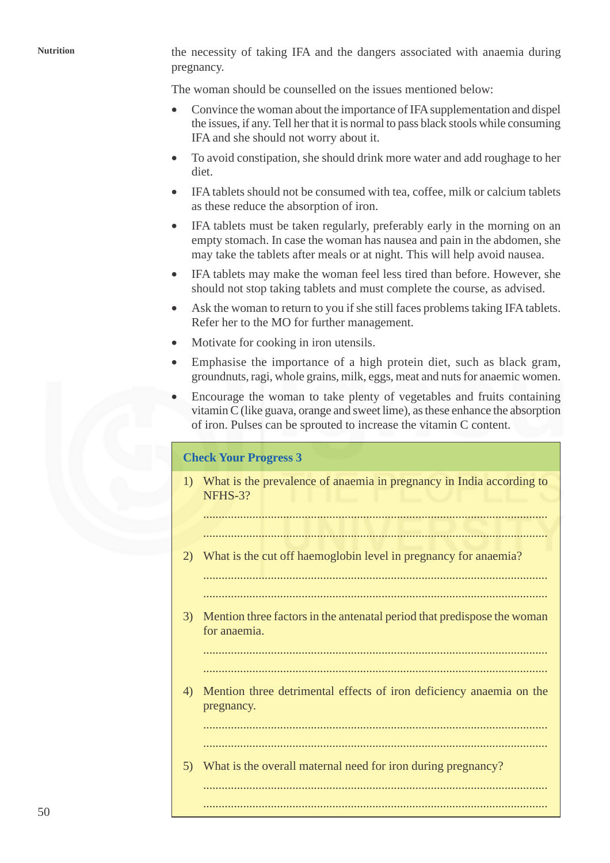**Nutrition** the necessity of taking IFA and the dangers associated with anaemia during pregnancy.

The woman should be counselled on the issues mentioned below:

- Convince the woman about the importance of IFA supplementation and dispel the issues, if any. Tell her that it is normal to pass black stools while consuming IFA and she should not worry about it.
- To avoid constipation, she should drink more water and add roughage to her diet.
- IFA tablets should not be consumed with tea, coffee, milk or calcium tablets as these reduce the absorption of iron.
- IFA tablets must be taken regularly, preferably early in the morning on an empty stomach. In case the woman has nausea and pain in the abdomen, she may take the tablets after meals or at night. This will help avoid nausea.
- IFA tablets may make the woman feel less tired than before. However, she should not stop taking tablets and must complete the course, as advised.
- Ask the woman to return to you if she still faces problems taking IFA tablets. Refer her to the MO for further management.
- Motivate for cooking in iron utensils.
- Emphasise the importance of a high protein diet, such as black gram, groundnuts, ragi, whole grains, milk, eggs, meat and nuts for anaemic women.
- Encourage the woman to take plenty of vegetables and fruits containing vitamin C (like guava, orange and sweet lime), as these enhance the absorption of iron. Pulses can be sprouted to increase the vitamin C content.

### **Check Your Progress 3**

1) What is the prevalence of anaemia in pregnancy in India according to NFHS-3?

................................................................................................................

................................................................................................................

2) What is the cut off haemoglobin level in pregnancy for anaemia?

................................................................................................................

- ................................................................................................................
- 3) Mention three factors in the antenatal period that predispose the woman for anaemia.

................................................................................................................ ................................................................................................................

4) Mention three detrimental effects of iron deficiency anaemia on the pregnancy.

................................................................................................................

................................................................................................................ ................................................................................................................

................................................................................................................ 5) What is the overall maternal need for iron during pregnancy?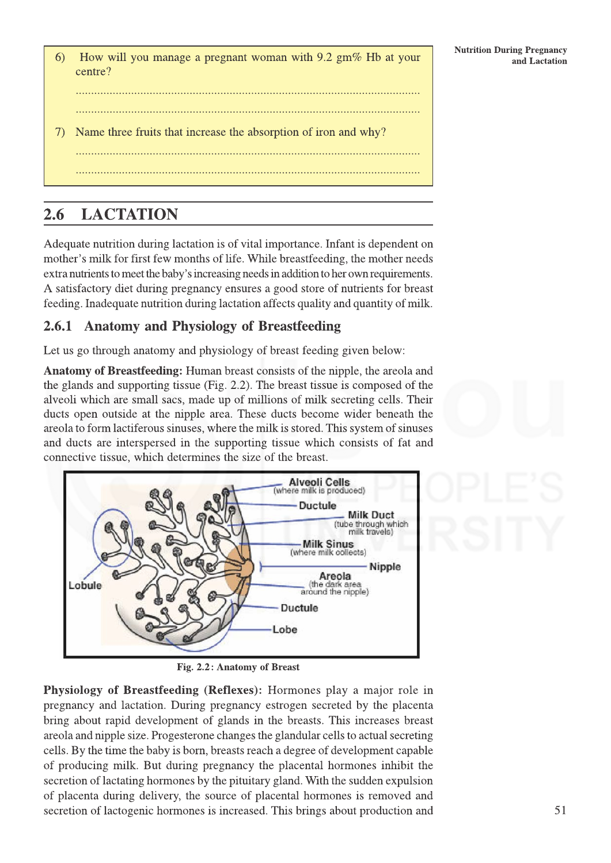$6)$ How will you manage a pregnant woman with 9.2  $\text{gm}\%$  Hb at your centre?

Name three fruits that increase the absorption of iron and why? 7)

### **LACTATION** 2.6

Adequate nutrition during lactation is of vital importance. Infant is dependent on mother's milk for first few months of life. While breastfeeding, the mother needs extra nutrients to meet the baby's increasing needs in addition to her own requirements. A satisfactory diet during pregnancy ensures a good store of nutrients for breast feeding. Inadequate nutrition during lactation affects quality and quantity of milk.

### **Anatomy and Physiology of Breastfeeding** 2.6.1

Let us go through anatomy and physiology of breast feeding given below:

**Anatomy of Breastfeeding:** Human breast consists of the nipple, the areola and the glands and supporting tissue (Fig. 2.2). The breast tissue is composed of the alveoli which are small sacs, made up of millions of milk secreting cells. Their ducts open outside at the nipple area. These ducts become wider beneath the areola to form lactiferous sinuses, where the milk is stored. This system of sinuses and ducts are interspersed in the supporting tissue which consists of fat and connective tissue, which determines the size of the breast.



Fig. 2.2: Anatomy of Breast

Physiology of Breastfeeding (Reflexes): Hormones play a major role in pregnancy and lactation. During pregnancy estrogen secreted by the placenta bring about rapid development of glands in the breasts. This increases breast are ola and nipple size. Progesterone changes the glandular cells to actual secreting cells. By the time the baby is born, breasts reach a degree of development capable of producing milk. But during pregnancy the placental hormones inhibit the secretion of lactating hormones by the pituitary gland. With the sudden expulsion of placenta during delivery, the source of placental hormones is removed and secretion of lactogenic hormones is increased. This brings about production and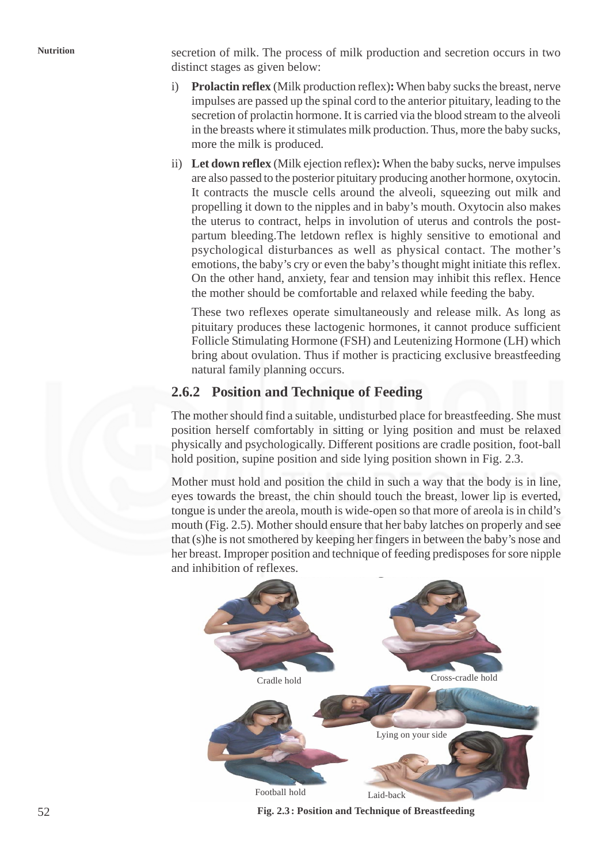**Nutrition** secretion of milk. The process of milk production and secretion occurs in two distinct stages as given below:

- i) **Prolactin reflex** (Milk production reflex)**:** When baby sucks the breast, nerve impulses are passed up the spinal cord to the anterior pituitary, leading to the secretion of prolactin hormone. It is carried via the blood stream to the alveoli in the breasts where it stimulates milk production. Thus, more the baby sucks, more the milk is produced.
- ii) **Let down reflex** (Milk ejection reflex)**:** When the baby sucks, nerve impulses are also passed to the posterior pituitary producing another hormone, oxytocin. It contracts the muscle cells around the alveoli, squeezing out milk and propelling it down to the nipples and in baby's mouth. Oxytocin also makes the uterus to contract, helps in involution of uterus and controls the postpartum bleeding.The letdown reflex is highly sensitive to emotional and psychological disturbances as well as physical contact. The mother's emotions, the baby's cry or even the baby's thought might initiate this reflex. On the other hand, anxiety, fear and tension may inhibit this reflex. Hence the mother should be comfortable and relaxed while feeding the baby.

These two reflexes operate simultaneously and release milk. As long as pituitary produces these lactogenic hormones, it cannot produce sufficient Follicle Stimulating Hormone (FSH) and Leutenizing Hormone (LH) which bring about ovulation. Thus if mother is practicing exclusive breastfeeding natural family planning occurs.

## **2.6.2 Position and Technique of Feeding**

The mother should find a suitable, undisturbed place for breastfeeding. She must position herself comfortably in sitting or lying position and must be relaxed physically and psychologically. Different positions are cradle position, foot-ball hold position, supine position and side lying position shown in Fig. 2.3.

Mother must hold and position the child in such a way that the body is in line, eyes towards the breast, the chin should touch the breast, lower lip is everted, tongue is under the areola, mouth is wide-open so that more of areola is in child's mouth (Fig. 2.5). Mother should ensure that her baby latches on properly and see that (s)he is not smothered by keeping her fingers in between the baby's nose and her breast. Improper position and technique of feeding predisposes for sore nipple and inhibition of reflexes.



**Fig. 2.3: Position and Technique of Breastfeeding**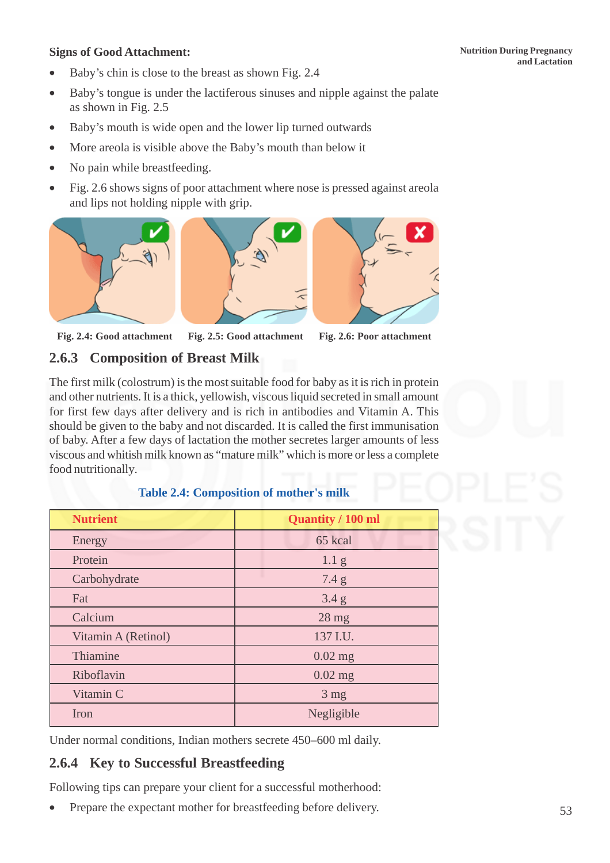- Baby's chin is close to the breast as shown Fig. 2.4
- Baby's tongue is under the lactiferous sinuses and nipple against the palate as shown in Fig. 2.5
- Baby's mouth is wide open and the lower lip turned outwards
- More areola is visible above the Baby's mouth than below it
- No pain while breastfeeding.
- Fig. 2.6 shows signs of poor attachment where nose is pressed against areola and lips not holding nipple with grip.







### **Fig. 2.4: Good attachment Fig. 2.5: Good attachment Fig. 2.6: Poor attachment**

## **2.6.3 Composition of Breast Milk**

The first milk (colostrum) is the most suitable food for baby as it is rich in protein and other nutrients. It is a thick, yellowish, viscous liquid secreted in small amount for first few days after delivery and is rich in antibodies and Vitamin A. This should be given to the baby and not discarded. It is called the first immunisation of baby. After a few days of lactation the mother secretes larger amounts of less viscous and whitish milk known as "mature milk" which is more or less a complete food nutritionally.

|  |  | <b>Table 2.4: Composition of mother's milk</b> |
|--|--|------------------------------------------------|
|--|--|------------------------------------------------|

| <b>Nutrient</b>       | <b>Quantity / 100 ml</b> |  |
|-----------------------|--------------------------|--|
| Energy                | 65 kcal                  |  |
| Protein               | 1.1 <sub>g</sub>         |  |
| Carbohydrate          | 7.4 g                    |  |
| 3.4 g<br>Fat          |                          |  |
| Calcium               | $28$ mg                  |  |
| Vitamin A (Retinol)   | 137 I.U.                 |  |
| Thiamine<br>$0.02$ mg |                          |  |
| Riboflavin            | $0.02$ mg                |  |
| Vitamin C             | $3 \text{ mg}$           |  |
| Negligible<br>Iron    |                          |  |

Under normal conditions, Indian mothers secrete 450–600 ml daily.

## **2.6.4 Key to Successful Breastfeeding**

Following tips can prepare your client for a successful motherhood:

• Prepare the expectant mother for breastfeeding before delivery.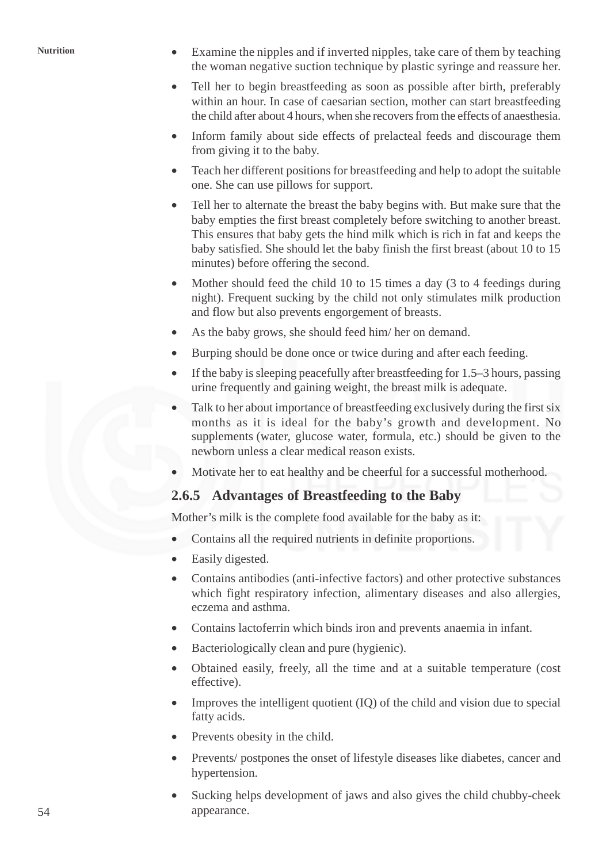- Nutrition Examine the nipples and if inverted nipples, take care of them by teaching the woman negative suction technique by plastic syringe and reassure her.
	- Tell her to begin breastfeeding as soon as possible after birth, preferably within an hour. In case of caesarian section, mother can start breastfeeding the child after about 4 hours, when she recovers from the effects of anaesthesia.
	- Inform family about side effects of prelacteal feeds and discourage them from giving it to the baby.
	- Teach her different positions for breastfeeding and help to adopt the suitable one. She can use pillows for support.
	- Tell her to alternate the breast the baby begins with. But make sure that the baby empties the first breast completely before switching to another breast. This ensures that baby gets the hind milk which is rich in fat and keeps the baby satisfied. She should let the baby finish the first breast (about 10 to 15 minutes) before offering the second.
	- Mother should feed the child 10 to 15 times a day (3 to 4 feedings during night). Frequent sucking by the child not only stimulates milk production and flow but also prevents engorgement of breasts.
	- As the baby grows, she should feed him/ her on demand.
	- Burping should be done once or twice during and after each feeding.
	- If the baby is sleeping peacefully after breastfeeding for 1.5–3 hours, passing urine frequently and gaining weight, the breast milk is adequate.
	- Talk to her about importance of breastfeeding exclusively during the first six months as it is ideal for the baby's growth and development. No supplements (water, glucose water, formula, etc.) should be given to the newborn unless a clear medical reason exists.
	- Motivate her to eat healthy and be cheerful for a successful motherhood.

## **2.6.5 Advantages of Breastfeeding to the Baby**

Mother's milk is the complete food available for the baby as it:

- Contains all the required nutrients in definite proportions.
- Easily digested.
- Contains antibodies (anti-infective factors) and other protective substances which fight respiratory infection, alimentary diseases and also allergies, eczema and asthma.
- Contains lactoferrin which binds iron and prevents anaemia in infant.
- Bacteriologically clean and pure (hygienic).
- Obtained easily, freely, all the time and at a suitable temperature (cost effective).
- Improves the intelligent quotient (IQ) of the child and vision due to special fatty acids.
- Prevents obesity in the child.
- Prevents/ postpones the onset of lifestyle diseases like diabetes, cancer and hypertension.
- Sucking helps development of jaws and also gives the child chubby-cheek appearance.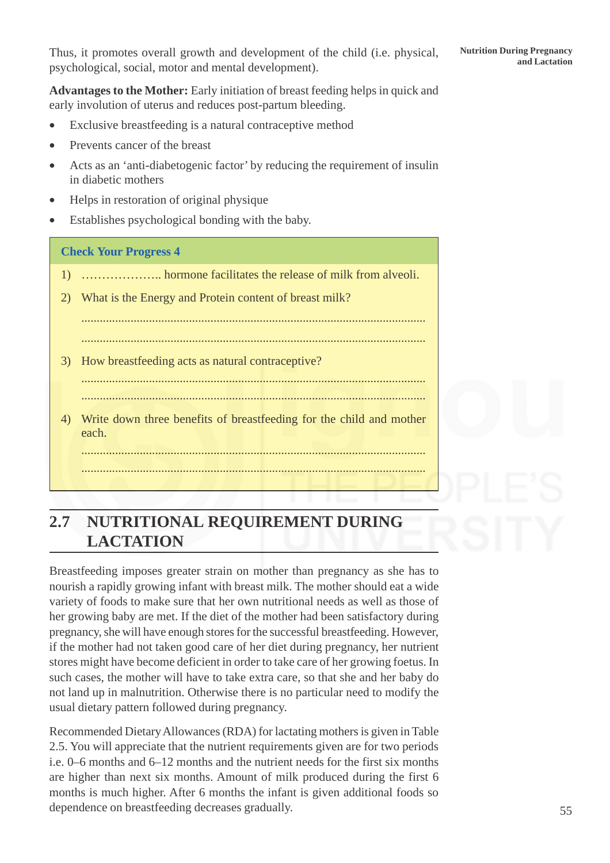Thus, it promotes overall growth and development of the child (i.e. physical, Nutrition During Pregnancy and Lactation psychological, social, motor and mental development).

**Advantages to the Mother:** Early initiation of breast feeding helps in quick and early involution of uterus and reduces post-partum bleeding.

- Exclusive breastfeeding is a natural contraceptive method
- Prevents cancer of the breast
- Acts as an 'anti-diabetogenic factor' by reducing the requirement of insulin in diabetic mothers
- Helps in restoration of original physique
- Establishes psychological bonding with the baby.

### **Check Your Progress 4**

- 1) ……………….. hormone facilitates the release of milk from alveoli.
- 2) What is the Energy and Protein content of breast milk?
	- ................................................................................................................ ................................................................................................................
- 3) How breastfeeding acts as natural contraceptive?
- ................................................................................................................

................................................................................................................

4) Write down three benefits of breastfeeding for the child and mother each.

................................................................................................................

# **2.7 NUTRITIONAL REQUIREMENT DURING LACTATION**

................................................................................................................

Breastfeeding imposes greater strain on mother than pregnancy as she has to nourish a rapidly growing infant with breast milk. The mother should eat a wide variety of foods to make sure that her own nutritional needs as well as those of her growing baby are met. If the diet of the mother had been satisfactory during pregnancy, she will have enough stores for the successful breastfeeding. However, if the mother had not taken good care of her diet during pregnancy, her nutrient stores might have become deficient in order to take care of her growing foetus. In such cases, the mother will have to take extra care, so that she and her baby do not land up in malnutrition. Otherwise there is no particular need to modify the usual dietary pattern followed during pregnancy.

Recommended Dietary Allowances (RDA) for lactating mothers is given in Table 2.5. You will appreciate that the nutrient requirements given are for two periods i.e. 0–6 months and 6–12 months and the nutrient needs for the first six months are higher than next six months. Amount of milk produced during the first 6 months is much higher. After 6 months the infant is given additional foods so dependence on breastfeeding decreases gradually.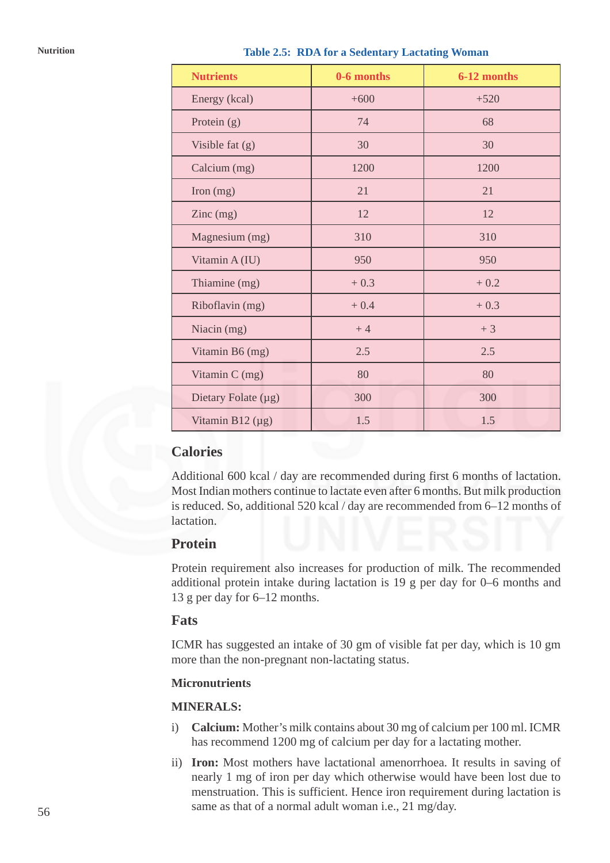| Nutrition |  | <b>Table 2.5: RDA for a Sedentary Lactating Woman</b> |  |
|-----------|--|-------------------------------------------------------|--|
|           |  |                                                       |  |

| <b>Nutrients</b>                       | 0-6 months | 6-12 months |
|----------------------------------------|------------|-------------|
| Energy (kcal)                          | $+600$     | $+520$      |
| Protein $(g)$                          | 74         | 68          |
| Visible fat $(g)$                      | 30         | 30          |
| Calcium (mg)                           | 1200       | 1200        |
| Iron (mg)                              | 21         | 21          |
| $\text{Zinc} \left( \text{mg} \right)$ | 12         | 12          |
| Magnesium (mg)                         | 310        | 310         |
| Vitamin A (IU)                         | 950        | 950         |
| Thiamine (mg)                          | $+0.3$     | $+0.2$      |
| Riboflavin (mg)                        | $+0.4$     | $+0.3$      |
| Niacin (mg)                            | $+4$       | $+3$        |
| Vitamin B6 (mg)                        | 2.5        | 2.5         |
| Vitamin C (mg)                         | 80         | 80          |
| Dietary Folate (µg)                    | 300        | 300         |
| Vitamin B12 $(\mu g)$                  | 1.5        | 1.5         |

## **Calories**

Additional 600 kcal / day are recommended during first 6 months of lactation. Most Indian mothers continue to lactate even after 6 months. But milk production is reduced. So, additional 520 kcal / day are recommended from 6–12 months of lactation.

## **Protein**

Protein requirement also increases for production of milk. The recommended additional protein intake during lactation is 19 g per day for 0–6 months and 13 g per day for 6–12 months.

### **Fats**

ICMR has suggested an intake of 30 gm of visible fat per day, which is 10 gm more than the non-pregnant non-lactating status.

### **Micronutrients**

### **MINERALS:**

- i) **Calcium:** Mother's milk contains about 30 mg of calcium per 100 ml. ICMR has recommend 1200 mg of calcium per day for a lactating mother.
- ii) **Iron:** Most mothers have lactational amenorrhoea. It results in saving of nearly 1 mg of iron per day which otherwise would have been lost due to menstruation. This is sufficient. Hence iron requirement during lactation is same as that of a normal adult woman i.e., 21 mg/day.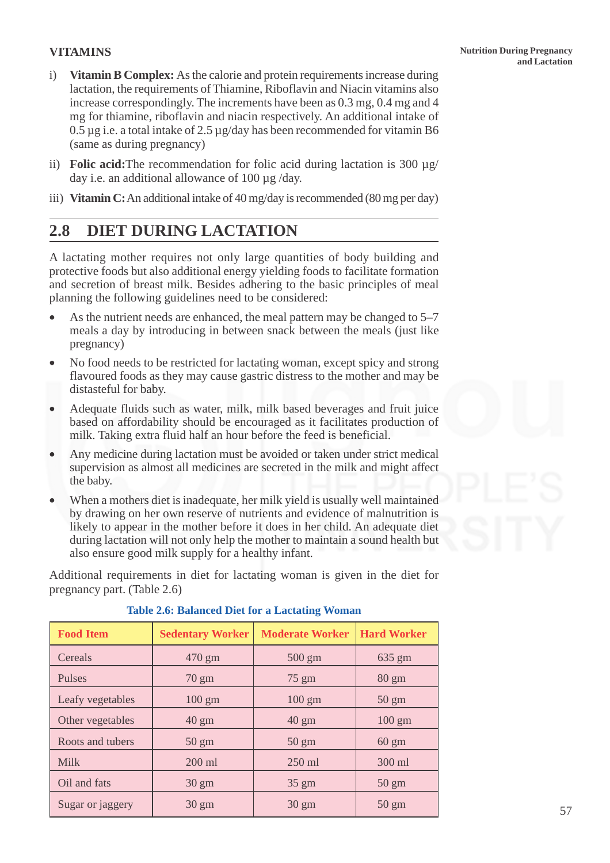### **Nutrition During Pregnancy and Lactation**

### **VITAMINS**

- i) **Vitamin B Complex:** As the calorie and protein requirements increase during lactation, the requirements of Thiamine, Riboflavin and Niacin vitamins also increase correspondingly. The increments have been as 0.3 mg, 0.4 mg and 4 mg for thiamine, riboflavin and niacin respectively. An additional intake of 0.5 µg i.e. a total intake of 2.5 µg/day has been recommended for vitamin B6 (same as during pregnancy)
- ii) **Folic acid:**The recommendation for folic acid during lactation is 300 µg/ day i.e. an additional allowance of 100 µg /day.
- iii) **Vitamin C:** An additional intake of 40 mg/day is recommended (80 mg per day)

# **2.8 DIET DURING LACTATION**

A lactating mother requires not only large quantities of body building and protective foods but also additional energy yielding foods to facilitate formation and secretion of breast milk. Besides adhering to the basic principles of meal planning the following guidelines need to be considered:

- As the nutrient needs are enhanced, the meal pattern may be changed to 5–7 meals a day by introducing in between snack between the meals (just like pregnancy)
- No food needs to be restricted for lactating woman, except spicy and strong flavoured foods as they may cause gastric distress to the mother and may be distasteful for baby.
- Adequate fluids such as water, milk, milk based beverages and fruit juice based on affordability should be encouraged as it facilitates production of milk. Taking extra fluid half an hour before the feed is beneficial.
- Any medicine during lactation must be avoided or taken under strict medical supervision as almost all medicines are secreted in the milk and might affect the baby.
- When a mothers diet is inadequate, her milk yield is usually well maintained by drawing on her own reserve of nutrients and evidence of malnutrition is likely to appear in the mother before it does in her child. An adequate diet during lactation will not only help the mother to maintain a sound health but also ensure good milk supply for a healthy infant.

Additional requirements in diet for lactating woman is given in the diet for pregnancy part. (Table 2.6)

| <b>Food Item</b> | <b>Sedentary Worker</b> | <b>Moderate Worker</b> | <b>Hard Worker</b> |
|------------------|-------------------------|------------------------|--------------------|
| Cereals          | 470 gm                  | $500 \text{ gm}$       | $635 \text{ gm}$   |
| <b>Pulses</b>    | $70 \text{ gm}$         | $75 \text{ gm}$        | $80 \text{ gm}$    |
| Leafy vegetables | $100 \text{ gm}$        | $100 \text{ gm}$       | $50 \text{ gm}$    |
| Other vegetables | $40 \text{ gm}$         | $40 \text{ gm}$        | $100 \text{ gm}$   |
| Roots and tubers | $50 \text{ gm}$         | $50 \text{ gm}$        | $60 \text{ gm}$    |
| <b>Milk</b>      | $200$ ml                | $250$ ml               | 300 ml             |
| Oil and fats     | $30 \text{ gm}$         | $35 \text{ gm}$        | $50 \text{ gm}$    |
| Sugar or jaggery | $30 \text{ gm}$         | $30 \text{ gm}$        | $50 \text{ gm}$    |

### **Table 2.6: Balanced Diet for a Lactating Woman**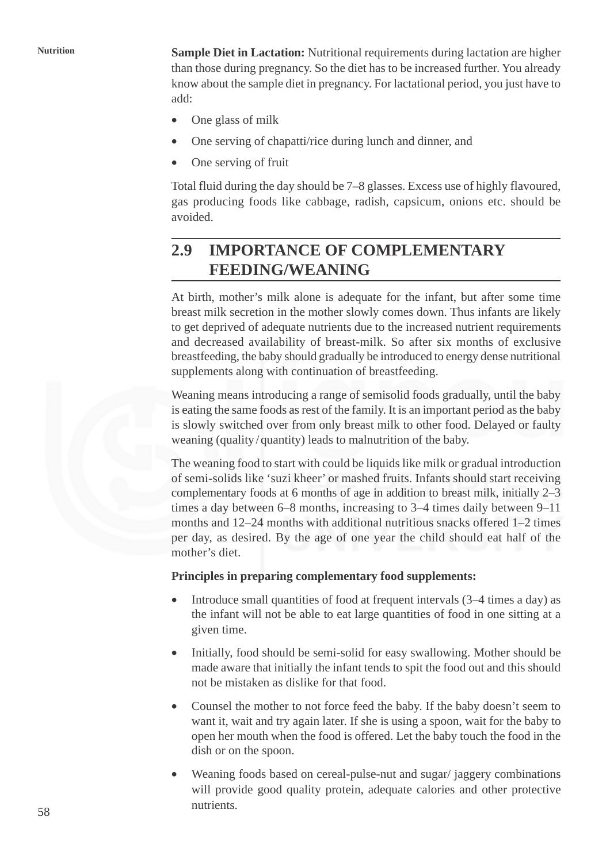**Nutrition Sample Diet in Lactation:** Nutritional requirements during lactation are higher than those during pregnancy. So the diet has to be increased further. You already know about the sample diet in pregnancy. For lactational period, you just have to add:

- One glass of milk
- One serving of chapatti/rice during lunch and dinner, and
- One serving of fruit

Total fluid during the day should be 7–8 glasses. Excess use of highly flavoured, gas producing foods like cabbage, radish, capsicum, onions etc. should be avoided.

# **2.9 IMPORTANCE OF COMPLEMENTARY FEEDING/WEANING**

At birth, mother's milk alone is adequate for the infant, but after some time breast milk secretion in the mother slowly comes down. Thus infants are likely to get deprived of adequate nutrients due to the increased nutrient requirements and decreased availability of breast-milk. So after six months of exclusive breastfeeding, the baby should gradually be introduced to energy dense nutritional supplements along with continuation of breastfeeding.

Weaning means introducing a range of semisolid foods gradually, until the baby is eating the same foods as rest of the family. It is an important period as the baby is slowly switched over from only breast milk to other food. Delayed or faulty weaning (quality/quantity) leads to malnutrition of the baby.

The weaning food to start with could be liquids like milk or gradual introduction of semi-solids like 'suzi kheer' or mashed fruits. Infants should start receiving complementary foods at 6 months of age in addition to breast milk, initially 2–3 times a day between 6–8 months, increasing to 3–4 times daily between 9–11 months and 12–24 months with additional nutritious snacks offered 1–2 times per day, as desired. By the age of one year the child should eat half of the mother's diet.

### **Principles in preparing complementary food supplements:**

- Introduce small quantities of food at frequent intervals (3–4 times a day) as the infant will not be able to eat large quantities of food in one sitting at a given time.
- Initially, food should be semi-solid for easy swallowing. Mother should be made aware that initially the infant tends to spit the food out and this should not be mistaken as dislike for that food.
- Counsel the mother to not force feed the baby. If the baby doesn't seem to want it, wait and try again later. If she is using a spoon, wait for the baby to open her mouth when the food is offered. Let the baby touch the food in the dish or on the spoon.
- Weaning foods based on cereal-pulse-nut and sugar/ jaggery combinations will provide good quality protein, adequate calories and other protective nutrients.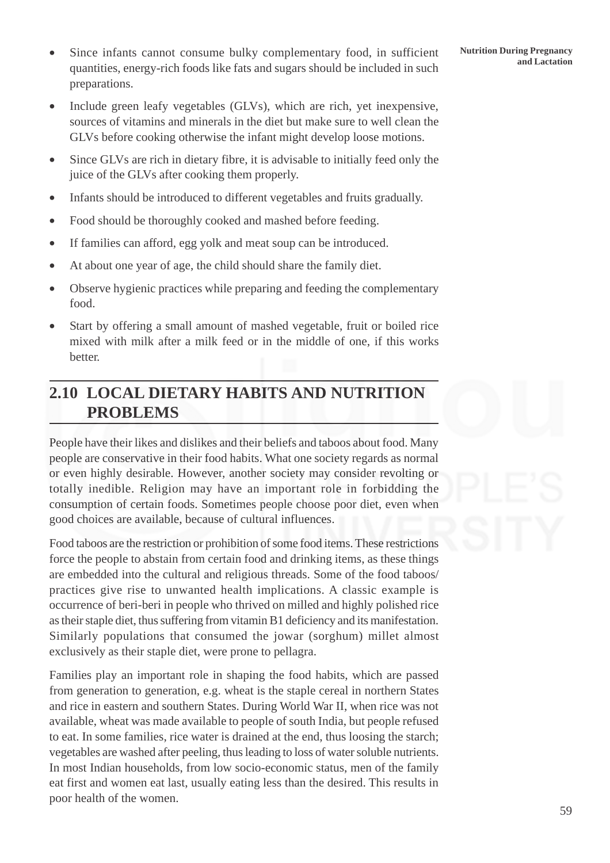- Since infants cannot consume bulky complementary food, in sufficient Nutrition During Pregnancy<br>and Lactation quantities, energy-rich foods like fats and sugars should be included in such preparations.
- Include green leafy vegetables (GLVs), which are rich, yet inexpensive, sources of vitamins and minerals in the diet but make sure to well clean the GLVs before cooking otherwise the infant might develop loose motions.
- Since GLVs are rich in dietary fibre, it is advisable to initially feed only the juice of the GLVs after cooking them properly.
- Infants should be introduced to different vegetables and fruits gradually.
- Food should be thoroughly cooked and mashed before feeding.
- If families can afford, egg yolk and meat soup can be introduced.
- At about one year of age, the child should share the family diet.
- Observe hygienic practices while preparing and feeding the complementary food.
- Start by offering a small amount of mashed vegetable, fruit or boiled rice mixed with milk after a milk feed or in the middle of one, if this works better.

# **2.10 LOCAL DIETARY HABITS AND NUTRITION PROBLEMS**

People have their likes and dislikes and their beliefs and taboos about food. Many people are conservative in their food habits. What one society regards as normal or even highly desirable. However, another society may consider revolting or totally inedible. Religion may have an important role in forbidding the consumption of certain foods. Sometimes people choose poor diet, even when good choices are available, because of cultural influences.

Food taboos are the restriction or prohibition of some food items. These restrictions force the people to abstain from certain food and drinking items, as these things are embedded into the cultural and religious threads. Some of the food taboos/ practices give rise to unwanted health implications. A classic example is occurrence of beri-beri in people who thrived on milled and highly polished rice as their staple diet, thus suffering from vitamin B1 deficiency and its manifestation. Similarly populations that consumed the jowar (sorghum) millet almost exclusively as their staple diet, were prone to pellagra.

Families play an important role in shaping the food habits, which are passed from generation to generation, e.g. wheat is the staple cereal in northern States and rice in eastern and southern States. During World War II, when rice was not available, wheat was made available to people of south India, but people refused to eat. In some families, rice water is drained at the end, thus loosing the starch; vegetables are washed after peeling, thus leading to loss of water soluble nutrients. In most Indian households, from low socio-economic status, men of the family eat first and women eat last, usually eating less than the desired. This results in poor health of the women.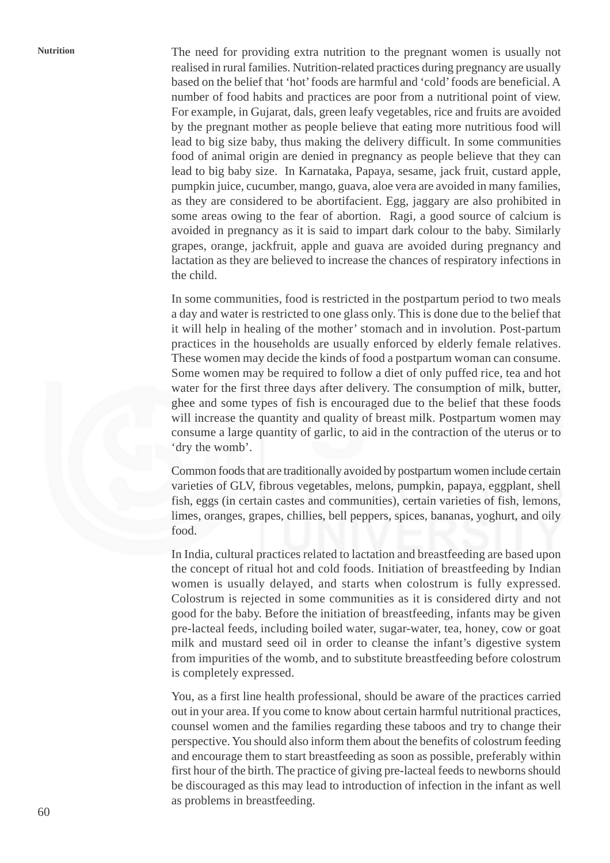**Nutrition** The need for providing extra nutrition to the pregnant women is usually not realised in rural families. Nutrition-related practices during pregnancy are usually based on the belief that 'hot' foods are harmful and 'cold' foods are beneficial. A number of food habits and practices are poor from a nutritional point of view. For example, in Gujarat, dals, green leafy vegetables, rice and fruits are avoided by the pregnant mother as people believe that eating more nutritious food will lead to big size baby, thus making the delivery difficult. In some communities food of animal origin are denied in pregnancy as people believe that they can lead to big baby size. In Karnataka, Papaya, sesame, jack fruit, custard apple, pumpkin juice, cucumber, mango, guava, aloe vera are avoided in many families, as they are considered to be abortifacient. Egg, jaggary are also prohibited in some areas owing to the fear of abortion. Ragi, a good source of calcium is avoided in pregnancy as it is said to impart dark colour to the baby. Similarly grapes, orange, jackfruit, apple and guava are avoided during pregnancy and lactation as they are believed to increase the chances of respiratory infections in the child.

> In some communities, food is restricted in the postpartum period to two meals a day and water is restricted to one glass only. This is done due to the belief that it will help in healing of the mother' stomach and in involution. Post-partum practices in the households are usually enforced by elderly female relatives. These women may decide the kinds of food a postpartum woman can consume. Some women may be required to follow a diet of only puffed rice, tea and hot water for the first three days after delivery. The consumption of milk, butter, ghee and some types of fish is encouraged due to the belief that these foods will increase the quantity and quality of breast milk. Postpartum women may consume a large quantity of garlic, to aid in the contraction of the uterus or to 'dry the womb'.

> Common foods that are traditionally avoided by postpartum women include certain varieties of GLV, fibrous vegetables, melons, pumpkin, papaya, eggplant, shell fish, eggs (in certain castes and communities), certain varieties of fish, lemons, limes, oranges, grapes, chillies, bell peppers, spices, bananas, yoghurt, and oily food.

> In India, cultural practices related to lactation and breastfeeding are based upon the concept of ritual hot and cold foods. Initiation of breastfeeding by Indian women is usually delayed, and starts when colostrum is fully expressed. Colostrum is rejected in some communities as it is considered dirty and not good for the baby. Before the initiation of breastfeeding, infants may be given pre-lacteal feeds, including boiled water, sugar-water, tea, honey, cow or goat milk and mustard seed oil in order to cleanse the infant's digestive system from impurities of the womb, and to substitute breastfeeding before colostrum is completely expressed.

> You, as a first line health professional, should be aware of the practices carried out in your area. If you come to know about certain harmful nutritional practices, counsel women and the families regarding these taboos and try to change their perspective. You should also inform them about the benefits of colostrum feeding and encourage them to start breastfeeding as soon as possible, preferably within first hour of the birth. The practice of giving pre-lacteal feeds to newborns should be discouraged as this may lead to introduction of infection in the infant as well as problems in breastfeeding.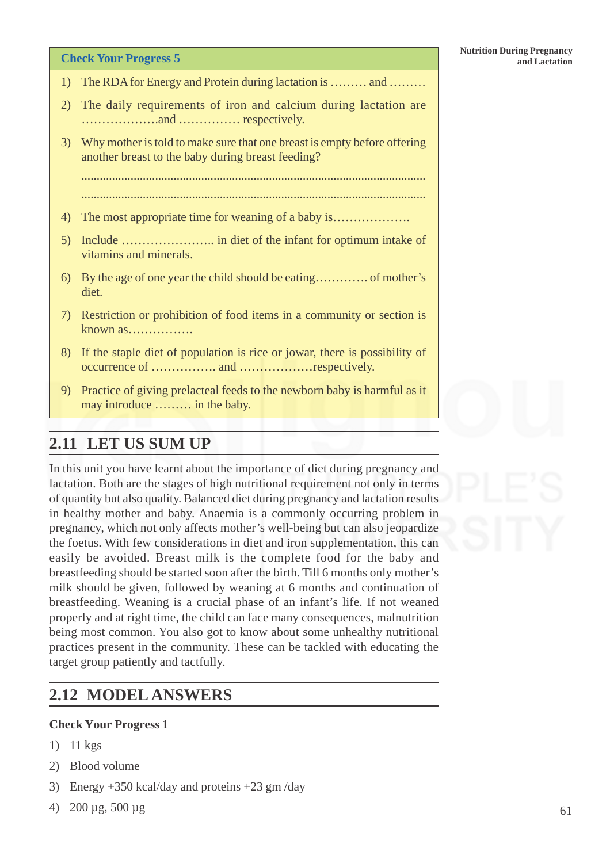- 1) The RDA for Energy and Protein during lactation is ……… and ………
- 2) The daily requirements of iron and calcium during lactation are ……………….and …………… respectively.
- 3) Why mother is told to make sure that one breast is empty before offering another breast to the baby during breast feeding?

................................................................................................................ ................................................................................................................

- 4) The most appropriate time for weaning of a baby is……………….
- 5) Include ………………….. in diet of the infant for optimum intake of vitamins and minerals.
- 6) By the age of one year the child should be eating…………. of mother's diet.
- 7) Restriction or prohibition of food items in a community or section is known as…………….
- 8) If the staple diet of population is rice or jowar, there is possibility of occurrence of ……………. and ………………respectively.
- 9) Practice of giving prelacteal feeds to the newborn baby is harmful as it may introduce ……… in the baby.

# **2.11 LET US SUM UP**

In this unit you have learnt about the importance of diet during pregnancy and lactation. Both are the stages of high nutritional requirement not only in terms of quantity but also quality. Balanced diet during pregnancy and lactation results in healthy mother and baby. Anaemia is a commonly occurring problem in pregnancy, which not only affects mother's well-being but can also jeopardize the foetus. With few considerations in diet and iron supplementation, this can easily be avoided. Breast milk is the complete food for the baby and breastfeeding should be started soon after the birth. Till 6 months only mother's milk should be given, followed by weaning at 6 months and continuation of breastfeeding. Weaning is a crucial phase of an infant's life. If not weaned properly and at right time, the child can face many consequences, malnutrition being most common. You also got to know about some unhealthy nutritional practices present in the community. These can be tackled with educating the target group patiently and tactfully.

# **2.12 MODEL ANSWERS**

## **Check Your Progress 1**

- 1) 11 kgs
- 2) Blood volume
- 3) Energy +350 kcal/day and proteins +23 gm /day
- 4) 200 µg, 500 µg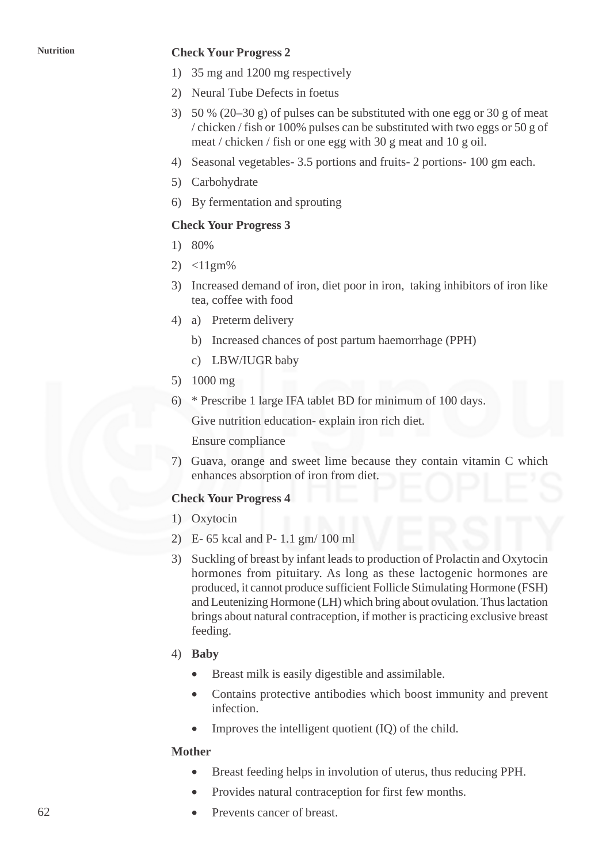### **Nutrition Check Your Progress 2**

- 1) 35 mg and 1200 mg respectively
- 2) Neural Tube Defects in foetus
- 3) 50 % (20–30 g) of pulses can be substituted with one egg or 30 g of meat / chicken / fish or 100% pulses can be substituted with two eggs or 50 g of meat / chicken / fish or one egg with 30 g meat and 10 g oil.
- 4) Seasonal vegetables- 3.5 portions and fruits- 2 portions- 100 gm each.
- 5) Carbohydrate
- 6) By fermentation and sprouting

## **Check Your Progress 3**

- 1) 80%
- 2)  $<11$ gm%
- 3) Increased demand of iron, diet poor in iron, taking inhibitors of iron like tea, coffee with food
- 4) a) Preterm delivery
	- b) Increased chances of post partum haemorrhage (PPH)
	- c) LBW/IUGR baby
- 5) 1000 mg
- 6) \* Prescribe 1 large IFA tablet BD for minimum of 100 days.

Give nutrition education- explain iron rich diet.

Ensure compliance

7) Guava, orange and sweet lime because they contain vitamin C which enhances absorption of iron from diet.

### **Check Your Progress 4**

- 1) Oxytocin
- 2) E- 65 kcal and P- 1.1 gm/ 100 ml
- 3) Suckling of breast by infant leads to production of Prolactin and Oxytocin hormones from pituitary. As long as these lactogenic hormones are produced, it cannot produce sufficient Follicle Stimulating Hormone (FSH) and Leutenizing Hormone (LH) which bring about ovulation. Thus lactation brings about natural contraception, if mother is practicing exclusive breast feeding.
- 4) **Baby**
	- Breast milk is easily digestible and assimilable.
	- Contains protective antibodies which boost immunity and prevent infection.
	- Improves the intelligent quotient (IQ) of the child.

### **Mother**

- Breast feeding helps in involution of uterus, thus reducing PPH.
- Provides natural contraception for first few months.
- Prevents cancer of breast.